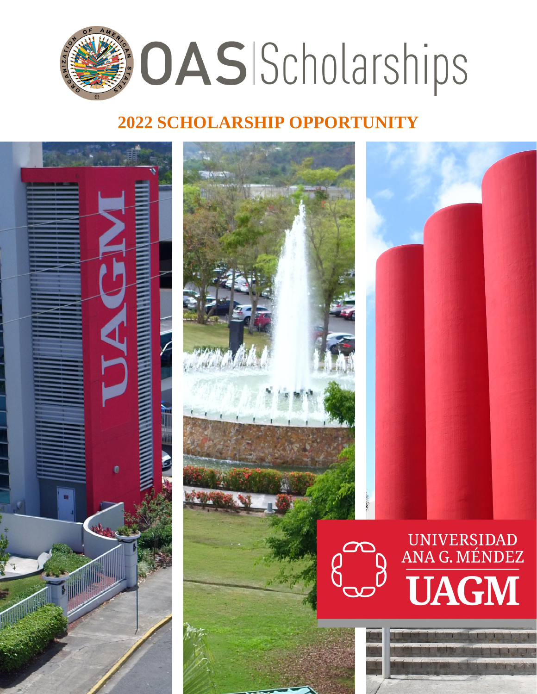

# **SCHOLARSHIP OPPORTUNITY**

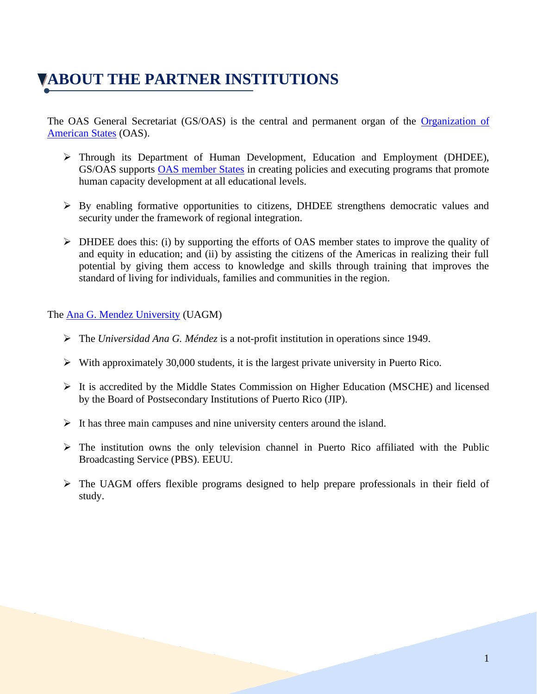### **ABOUT THE PARTNER INSTITUTIONS**

The OAS General Secretariat (GS/OAS) is the central and permanent organ of the [Organization of](http://www.oas.org/en/)  [American States](http://www.oas.org/en/) (OAS).

- ➢ Through its Department of Human Development, Education and Employment (DHDEE), GS/OAS supports [OAS member States](http://www.oas.org/en/member_states/default.asp) in creating policies and executing programs that promote human capacity development at all educational levels.
- ➢ By enabling formative opportunities to citizens, DHDEE strengthens democratic values and security under the framework of regional integration.
- ➢ DHDEE does this: (i) by supporting the efforts of OAS member states to improve the quality of and equity in education; and (ii) by assisting the citizens of the Americas in realizing their full potential by giving them access to knowledge and skills through training that improves the standard of living for individuals, families and communities in the region.

#### The **Ana G. Mendez University** (UAGM)

- ➢ The *Universidad Ana G. Méndez* is a not-profit institution in operations since 1949.
- $\triangleright$  With approximately 30,000 students, it is the largest private university in Puerto Rico.
- ➢ It is accredited by the Middle States Commission on Higher Education (MSCHE) and licensed by the Board of Postsecondary Institutions of Puerto Rico (JIP).
- ➢ It has three main campuses and nine university centers around the island.
- $\triangleright$  The institution owns the only television channel in Puerto Rico affiliated with the Public Broadcasting Service (PBS). EEUU.
- $\triangleright$  The UAGM offers flexible programs designed to help prepare professionals in their field of study.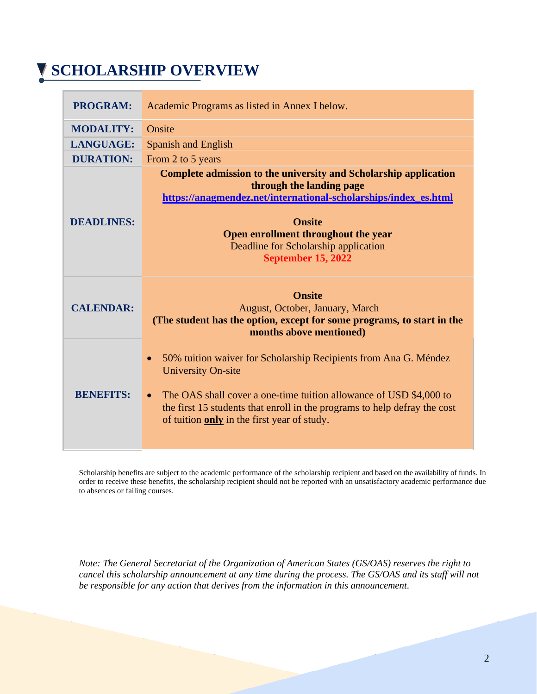# **SCHOLARSHIP OVERVIEW**

| <b>PROGRAM:</b>   | Academic Programs as listed in Annex I below.                                                                                                                                                                                                                                                                             |
|-------------------|---------------------------------------------------------------------------------------------------------------------------------------------------------------------------------------------------------------------------------------------------------------------------------------------------------------------------|
| <b>MODALITY:</b>  | Onsite                                                                                                                                                                                                                                                                                                                    |
| <b>LANGUAGE:</b>  | <b>Spanish and English</b>                                                                                                                                                                                                                                                                                                |
| <b>DURATION:</b>  | From 2 to 5 years                                                                                                                                                                                                                                                                                                         |
| <b>DEADLINES:</b> | <b>Complete admission to the university and Scholarship application</b><br>through the landing page<br>https://anagmendez.net/international-scholarships/index_es.html<br><b>Onsite</b><br>Open enrollment throughout the year<br>Deadline for Scholarship application<br><b>September 15, 2022</b>                       |
| <b>CALENDAR:</b>  | <b>Onsite</b><br>August, October, January, March<br>(The student has the option, except for some programs, to start in the<br>months above mentioned)                                                                                                                                                                     |
| <b>BENEFITS:</b>  | 50% tuition waiver for Scholarship Recipients from Ana G. Méndez<br>$\bullet$<br><b>University On-site</b><br>The OAS shall cover a one-time tuition allowance of USD \$4,000 to<br>$\bullet$<br>the first 15 students that enroll in the programs to help defray the cost<br>of tuition only in the first year of study. |

Scholarship benefits are subject to the academic performance of the scholarship recipient and based on the availability of funds. In order to receive these benefits, the scholarship recipient should not be reported with an unsatisfactory academic performance due to absences or failing courses.

*Note: The General Secretariat of the Organization of American States (GS/OAS) reserves the right to cancel this scholarship announcement at any time during the process. The GS/OAS and its staff will not be responsible for any action that derives from the information in this announcement.*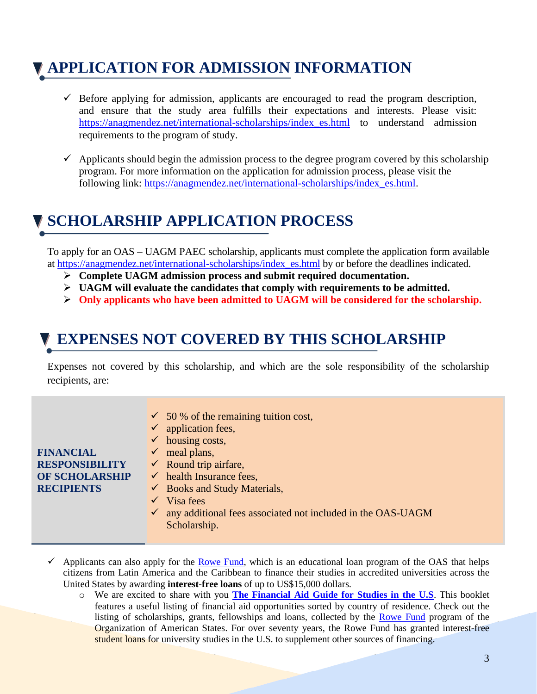# **APPLICATION FOR ADMISSION INFORMATION**

- $\checkmark$  Before applying for admission, applicants are encouraged to read the program description, and ensure that the study area fulfills their expectations and interests. Please visit: [https://anagmendez.net/international-scholarships/index\\_es.html](https://anagmendez.net/international-scholarships/index_es.html) to understand admission requirements to the program of study.
- $\checkmark$  Applicants should begin the admission process to the degree program covered by this scholarship program. For more information on the application for admission process, please visit the following link: [https://anagmendez.net/international-scholarships/index\\_es.html.](https://anagmendez.net/international-scholarships/index_es.html)

## **SCHOLARSHIP APPLICATION PROCESS**

To apply for an OAS – UAGM PAEC scholarship, applicants must complete the application form available at [https://anagmendez.net/international-scholarships/index\\_es.html](https://anagmendez.net/international-scholarships/index_es.html) by or before the deadlines indicated.

- ➢ **Complete UAGM admission process and submit required documentation.**
- ➢ **UAGM will evaluate the candidates that comply with requirements to be admitted.**
- ➢ **Only applicants who have been admitted to UAGM will be considered for the scholarship.**

#### **EXPENSES NOT COVERED BY THIS SCHOLARSHIP**

Expenses not covered by this scholarship, and which are the sole responsibility of the scholarship recipients, are:

- $\checkmark$  50 % of the remaining tuition cost,
- $\checkmark$  application fees,
- $\checkmark$  housing costs,
- $\checkmark$  meal plans,

#### **FINANCIAL RESPONSIBILITY OF SCHOLARSHIP RECIPIENTS**

- $\checkmark$  Round trip airfare,  $\checkmark$  health Insurance fees,
- $\checkmark$  Books and Study Materials,
- $\checkmark$  Visa fees
- $\checkmark$  any additional fees associated not included in the OAS-UAGM Scholarship.
- $\checkmark$  Applicants can also apply for the [Rowe Fund,](http://www.oas.org/en/rowefund/default.asp) which is an educational loan program of the OAS that helps citizens from Latin America and the Caribbean to finance their studies in accredited universities across the United States by awarding **interest-free loans** of up to US\$15,000 dollars.
	- o We are excited to share with you **[The Financial Aid Guide for Studies in the U.S](https://www.oas.org/en/rowefund/FinancialAidGuideForUS-Studies.pdf)**. This booklet features a useful listing of financial aid opportunities sorted by country of residence. Check out the listing of scholarships, grants, fellowships and loans, collected by the [Rowe Fund](http://www.oas.org/en/rowefund) program of the Organization of American States. For over seventy years, the Rowe Fund has granted interest-free student loans for university studies in the U.S. to supplement other sources of financing.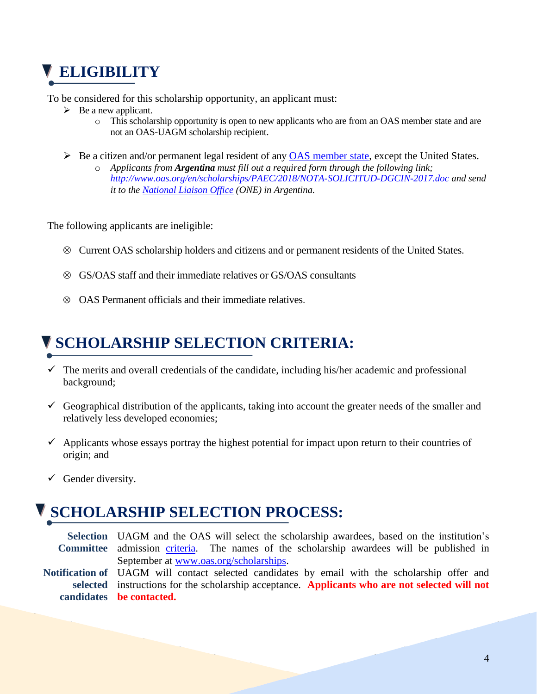

To be considered for this scholarship opportunity, an applicant must:

- $\triangleright$  Be a new applicant.
	- o This scholarship opportunity is open to new applicants who are from an OAS member state and are not an OAS-UAGM scholarship recipient.
- ➢ Be a citizen and/or permanent legal resident of any [OAS member state,](http://www.oas.org/en/member_states/default.asp) except the United States.
	- o *Applicants from Argentina must fill out a required form through the following link; <http://www.oas.org/en/scholarships/PAEC/2018/NOTA-SOLICITUD-DGCIN-2017.doc> and send it to the [National Liaison Office](http://www.oas.org/en/scholarships/regularprogram/one.asp) (ONE) in Argentina.*

The following applicants are ineligible:

- Current OAS scholarship holders and citizens and or permanent residents of the United States.
- GS/OAS staff and their immediate relatives or GS/OAS consultants
- $\otimes$  OAS Permanent officials and their immediate relatives.

## **SCHOLARSHIP SELECTION CRITERIA:**

- $\checkmark$  The merits and overall credentials of the candidate, including his/her academic and professional background;
- $\checkmark$  Geographical distribution of the applicants, taking into account the greater needs of the smaller and relatively less developed economies;
- $\checkmark$  Applicants whose essays portray the highest potential for impact upon return to their countries of origin; and
- $\checkmark$  Gender diversity.

#### **SCHOLARSHIP SELECTION PROCESS:**

**Selection**  UAGM and the OAS will select the scholarship awardees, based on the institution's Committee admission criteria. The names of the scholarship awardees will be published in September at [www.oas.org/scholarships.](http://www.oas.org/scholarships)

**Notification of**  UAGM will contact selected candidates by email with the scholarship offer and **selected**  instructions for the scholarship acceptance. **Applicants who are not selected will not candidates be contacted.**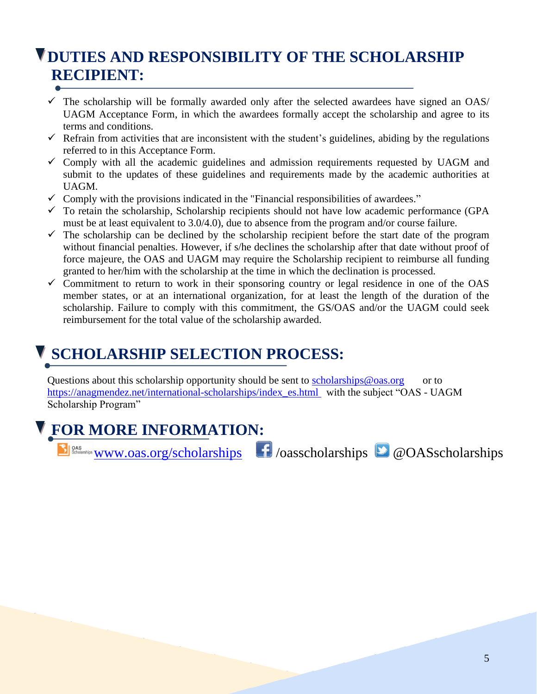# **DUTIES AND RESPONSIBILITY OF THE SCHOLARSHIP RECIPIENT:**

- $\checkmark$  The scholarship will be formally awarded only after the selected awardees have signed an OAS/ UAGM Acceptance Form, in which the awardees formally accept the scholarship and agree to its terms and conditions.
- $\checkmark$  Refrain from activities that are inconsistent with the student's guidelines, abiding by the regulations referred to in this Acceptance Form.
- $\checkmark$  Comply with all the academic guidelines and admission requirements requested by UAGM and submit to the updates of these guidelines and requirements made by the academic authorities at UAGM.
- $\checkmark$  Comply with the provisions indicated in the "Financial responsibilities of awardees."
- $\checkmark$  To retain the scholarship, Scholarship recipients should not have low academic performance (GPA must be at least equivalent to 3.0/4.0), due to absence from the program and/or course failure.
- $\checkmark$  The scholarship can be declined by the scholarship recipient before the start date of the program without financial penalties. However, if s/he declines the scholarship after that date without proof of force majeure, the OAS and UAGM may require the Scholarship recipient to reimburse all funding granted to her/him with the scholarship at the time in which the declination is processed.
- $\checkmark$  Commitment to return to work in their sponsoring country or legal residence in one of the OAS member states, or at an international organization, for at least the length of the duration of the scholarship. Failure to comply with this commitment, the GS/OAS and/or the UAGM could seek reimbursement for the total value of the scholarship awarded.

# **SCHOLARSHIP SELECTION PROCESS:**

Questions about this scholarship opportunity should be sent to  $\frac{\text{scholarships} @ \text{oas.org}}{\text{coas.org}}$  or to [https://anagmendez.net/international-scholarships/index\\_es.html](https://anagmendez.net/international-scholarships/index_es.html) with the subject "OAS - UAGM Scholarship Program"

## **FOR MORE INFORMATION:**

 $\mathbb{E}_{\text{Solvability} \text{WWW}.Oas.org/scholarships}$   $\mathbb{E}_{\text{Oasscholarships}}$  @OASscholarships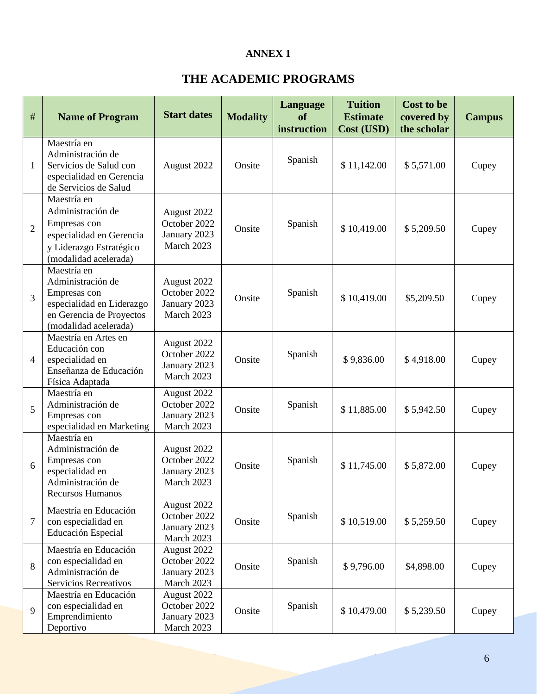#### **ANNEX 1**

#### **THE ACADEMIC PROGRAMS**

| $\#$           | <b>Name of Program</b>                                                                                                             | <b>Start dates</b>                                        | <b>Modality</b> | Language<br>of<br>instruction | <b>Tuition</b><br><b>Estimate</b><br>Cost (USD) | <b>Cost to be</b><br>covered by<br>the scholar | <b>Campus</b> |
|----------------|------------------------------------------------------------------------------------------------------------------------------------|-----------------------------------------------------------|-----------------|-------------------------------|-------------------------------------------------|------------------------------------------------|---------------|
| $\mathbf{1}$   | Maestría en<br>Administración de<br>Servicios de Salud con<br>especialidad en Gerencia<br>de Servicios de Salud                    | August 2022                                               | Onsite          | Spanish                       | \$11,142.00                                     | \$5,571.00                                     | Cupey         |
| $\overline{2}$ | Maestría en<br>Administración de<br>Empresas con<br>especialidad en Gerencia<br>y Liderazgo Estratégico<br>(modalidad acelerada)   | August 2022<br>October 2022<br>January 2023<br>March 2023 | Onsite          | Spanish                       | \$10,419.00                                     | \$5,209.50                                     | Cupey         |
| 3              | Maestría en<br>Administración de<br>Empresas con<br>especialidad en Liderazgo<br>en Gerencia de Proyectos<br>(modalidad acelerada) | August 2022<br>October 2022<br>January 2023<br>March 2023 | Onsite          | Spanish                       | \$10,419.00                                     | \$5,209.50                                     | Cupey         |
| 4              | Maestría en Artes en<br>Educación con<br>especialidad en<br>Enseñanza de Educación<br>Física Adaptada                              | August 2022<br>October 2022<br>January 2023<br>March 2023 | Onsite          | Spanish                       | \$9,836.00                                      | \$4,918.00                                     | Cupey         |
| 5              | Maestría en<br>Administración de<br>Empresas con<br>especialidad en Marketing                                                      | August 2022<br>October 2022<br>January 2023<br>March 2023 | Onsite          | Spanish                       | \$11,885.00                                     | \$5,942.50                                     | Cupey         |
| 6              | Maestría en<br>Administración de<br>Empresas con<br>especialidad en<br>Administración de<br><b>Recursos Humanos</b>                | August 2022<br>October 2022<br>January 2023<br>March 2023 | Onsite          | Spanish                       | \$11,745.00                                     | \$5,872.00                                     | Cupey         |
| $\tau$         | Maestría en Educación<br>con especialidad en<br>Educación Especial                                                                 | August 2022<br>October 2022<br>January 2023<br>March 2023 | Onsite          | Spanish                       | \$10,519.00                                     | \$5,259.50                                     | Cupey         |
| 8              | Maestría en Educación<br>con especialidad en<br>Administración de<br>Servicios Recreativos                                         | August 2022<br>October 2022<br>January 2023<br>March 2023 | Onsite          | Spanish                       | \$9,796.00                                      | \$4,898.00                                     | Cupey         |
| 9              | Maestría en Educación<br>con especialidad en<br>Emprendimiento<br>Deportivo                                                        | August 2022<br>October 2022<br>January 2023<br>March 2023 | Onsite          | Spanish                       | \$10,479.00                                     | \$5,239.50                                     | Cupey         |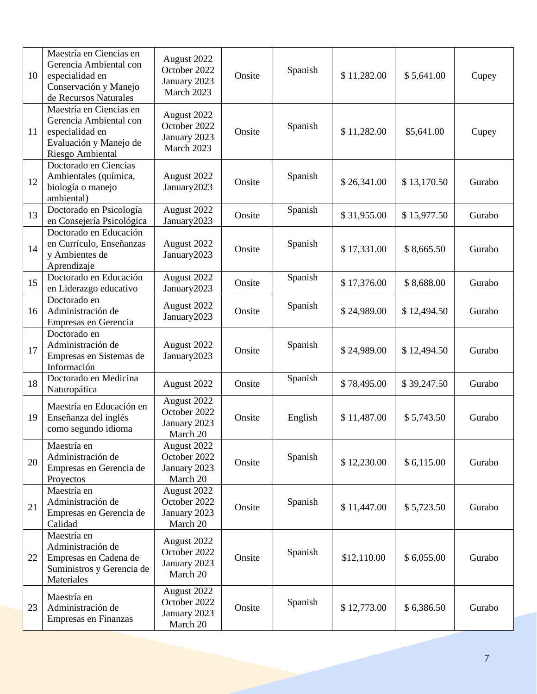| 10 | Maestría en Ciencias en<br>Gerencia Ambiental con<br>especialidad en<br>Conservación y Manejo<br>de Recursos Naturales | August 2022<br>October 2022<br>January 2023<br>March 2023 | Onsite | Spanish | \$11,282.00 | \$5,641.00  | Cupey  |
|----|------------------------------------------------------------------------------------------------------------------------|-----------------------------------------------------------|--------|---------|-------------|-------------|--------|
| 11 | Maestría en Ciencias en<br>Gerencia Ambiental con<br>especialidad en<br>Evaluación y Manejo de<br>Riesgo Ambiental     | August 2022<br>October 2022<br>January 2023<br>March 2023 | Onsite | Spanish | \$11,282.00 | \$5,641.00  | Cupey  |
| 12 | Doctorado en Ciencias<br>Ambientales (química,<br>biología o manejo<br>ambiental)                                      | August 2022<br>January2023                                | Onsite | Spanish | \$26,341.00 | \$13,170.50 | Gurabo |
| 13 | Doctorado en Psicología<br>en Consejería Psicológica                                                                   | August 2022<br>January2023                                | Onsite | Spanish | \$31,955.00 | \$15,977.50 | Gurabo |
| 14 | Doctorado en Educación<br>en Currículo, Enseñanzas<br>y Ambientes de<br>Aprendizaje                                    | August 2022<br>January2023                                | Onsite | Spanish | \$17,331.00 | \$8,665.50  | Gurabo |
| 15 | Doctorado en Educación<br>en Liderazgo educativo                                                                       | August 2022<br>January2023                                | Onsite | Spanish | \$17,376.00 | \$8,688.00  | Gurabo |
| 16 | Doctorado en<br>Administración de<br>Empresas en Gerencia                                                              | August 2022<br>January2023                                | Onsite | Spanish | \$24,989.00 | \$12,494.50 | Gurabo |
| 17 | Doctorado en<br>Administración de<br>Empresas en Sistemas de<br>Información                                            | August 2022<br>January2023                                | Onsite | Spanish | \$24,989.00 | \$12,494.50 | Gurabo |
| 18 | Doctorado en Medicina<br>Naturopática                                                                                  | August 2022                                               | Onsite | Spanish | \$78,495.00 | \$39,247.50 | Gurabo |
| 19 | Maestría en Educación en<br>Enseñanza del inglés<br>como segundo idioma                                                | August 2022<br>October 2022<br>January 2023<br>March 20   | Onsite | English | \$11,487.00 | \$5,743.50  | Gurabo |
| 20 | Maestría en<br>Administración de<br>Empresas en Gerencia de<br>Proyectos                                               | August 2022<br>October 2022<br>January 2023<br>March 20   | Onsite | Spanish | \$12,230.00 | \$6,115.00  | Gurabo |
| 21 | Maestría en<br>Administración de<br>Empresas en Gerencia de<br>Calidad                                                 | August 2022<br>October 2022<br>January 2023<br>March 20   | Onsite | Spanish | \$11,447.00 | \$5,723.50  | Gurabo |
| 22 | Maestría en<br>Administración de<br>Empresas en Cadena de<br>Suministros y Gerencia de<br>Materiales                   | August 2022<br>October 2022<br>January 2023<br>March 20   | Onsite | Spanish | \$12,110.00 | \$6,055.00  | Gurabo |
| 23 | Maestría en<br>Administración de<br>Empresas en Finanzas                                                               | August 2022<br>October 2022<br>January 2023<br>March 20   | Onsite | Spanish | \$12,773.00 | \$6,386.50  | Gurabo |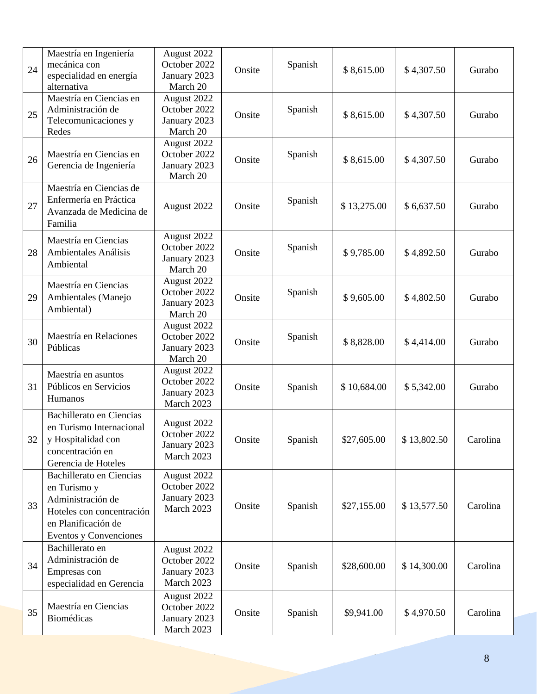| 24 | Maestría en Ingeniería<br>mecánica con<br>especialidad en energía<br>alternativa                                                            | August 2022<br>October 2022<br>January 2023<br>March 20   | Onsite | Spanish | \$8,615.00  | \$4,307.50  | Gurabo   |
|----|---------------------------------------------------------------------------------------------------------------------------------------------|-----------------------------------------------------------|--------|---------|-------------|-------------|----------|
| 25 | Maestría en Ciencias en<br>Administración de<br>Telecomunicaciones y<br>Redes                                                               | August 2022<br>October 2022<br>January 2023<br>March 20   | Onsite | Spanish | \$8,615.00  | \$4,307.50  | Gurabo   |
| 26 | Maestría en Ciencias en<br>Gerencia de Ingeniería                                                                                           | August 2022<br>October 2022<br>January 2023<br>March 20   | Onsite | Spanish | \$8,615.00  | \$4,307.50  | Gurabo   |
| 27 | Maestría en Ciencias de<br>Enfermería en Práctica<br>Avanzada de Medicina de<br>Familia                                                     | August 2022                                               | Onsite | Spanish | \$13,275.00 | \$6,637.50  | Gurabo   |
| 28 | Maestría en Ciencias<br>Ambientales Análisis<br>Ambiental                                                                                   | August 2022<br>October 2022<br>January 2023<br>March 20   | Onsite | Spanish | \$9,785.00  | \$4,892.50  | Gurabo   |
| 29 | Maestría en Ciencias<br>Ambientales (Manejo<br>Ambiental)                                                                                   | August 2022<br>October 2022<br>January 2023<br>March 20   | Onsite | Spanish | \$9,605.00  | \$4,802.50  | Gurabo   |
| 30 | Maestría en Relaciones<br>Públicas                                                                                                          | August 2022<br>October 2022<br>January 2023<br>March 20   | Onsite | Spanish | \$8,828.00  | \$4,414.00  | Gurabo   |
| 31 | Maestría en asuntos<br>Públicos en Servicios<br>Humanos                                                                                     | August 2022<br>October 2022<br>January 2023<br>March 2023 | Onsite | Spanish | \$10,684.00 | \$5,342.00  | Gurabo   |
| 32 | Bachillerato en Ciencias<br>en Turismo Internacional<br>y Hospitalidad con<br>concentración en<br>Gerencia de Hoteles                       | August 2022<br>October 2022<br>January 2023<br>March 2023 | Onsite | Spanish | \$27,605.00 | \$13,802.50 | Carolina |
| 33 | Bachillerato en Ciencias<br>en Turismo y<br>Administración de<br>Hoteles con concentración<br>en Planificación de<br>Eventos y Convenciones | August 2022<br>October 2022<br>January 2023<br>March 2023 | Onsite | Spanish | \$27,155.00 | \$13,577.50 | Carolina |
| 34 | Bachillerato en<br>Administración de<br>Empresas con<br>especialidad en Gerencia                                                            | August 2022<br>October 2022<br>January 2023<br>March 2023 | Onsite | Spanish | \$28,600.00 | \$14,300.00 | Carolina |
| 35 | Maestría en Ciencias<br>Biomédicas                                                                                                          | August 2022<br>October 2022<br>January 2023<br>March 2023 | Onsite | Spanish | \$9,941.00  | \$4,970.50  | Carolina |